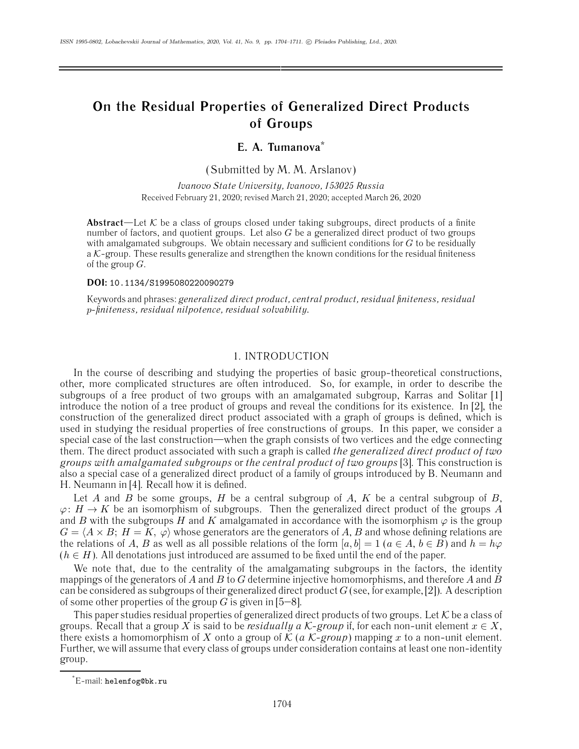# **On the Residual Properties of Generalized Direct Products of Groups**

# **E. A. Tumanova\***

(Submitted by M. M. Arslanov)

*Ivanovo State University, Ivanovo, 153025 Russia* Received February 21, 2020; revised March 21, 2020; accepted March 26, 2020

**Abstract**—Let  $K$  be a class of groups closed under taking subgroups, direct products of a finite number of factors, and quotient groups. Let also  $G$  be a generalized direct product of two groups with amalgamated subgroups. We obtain necessary and sufficient conditions for  $G$  to be residually a  $K$ -group. These results generalize and strengthen the known conditions for the residual finiteness of the group  $G$ .

## **DOI:** 10.1134/S1995080220090279

Keywords and phrases: *generalized direct product, central product, residual finiteness, residual* p*-finiteness, residual nilpotence, residual solvability.*

# 1. INTRODUCTION

In the course of describing and studying the properties of basic group-theoretical constructions, other, more complicated structures are often introduced. So, for example, in order to describe the subgroups of a free product of two groups with an amalgamated subgroup, Karras and Solitar [1] introduce the notion of a tree product of groups and reveal the conditions for its existence. In [2], the construction of the generalized direct product associated with a graph of groups is defined, which is used in studying the residual properties of free constructions of groups. In this paper, we consider a special case of the last construction—when the graph consists of two vertices and the edge connecting them. The direct product associated with such a graph is called *the generalized direct product of two groups with amalgamated subgroups* or *the central product of two groups* [3]. This construction is also a special case of a generalized direct product of a family of groups introduced by B. Neumann and H. Neumann in [4]. Recall how it is defined.

Let A and B be some groups, H be a central subgroup of A, K be a central subgroup of B,  $\varphi: H \to K$  be an isomorphism of subgroups. Then the generalized direct product of the groups A and B with the subgroups H and K amalgamated in accordance with the isomorphism  $\varphi$  is the group  $G = \langle A \times B; H = K, \varphi \rangle$  whose generators are the generators of A, B and whose defining relations are the relations of A, B as well as all possible relations of the form  $[a, b] = 1$  ( $a \in A$ ,  $b \in B$ ) and  $h = h\varphi$  $(h \in H)$ . All denotations just introduced are assumed to be fixed until the end of the paper.

We note that, due to the centrality of the amalgamating subgroups in the factors, the identity mappings of the generators of A and B to G determine injective homomorphisms, and therefore A and B can be considered as subgroups of their generalized direct product  $G$  (see, for example, [2]). A description of some other properties of the group G is given in  $[5-8]$ .

This paper studies residual properties of generalized direct products of two groups. Let  $K$  be a class of groups. Recall that a group X is said to be *residually a*  $K$ -group if, for each non-unit element  $x \in X$ , there exists a homomorphism of X onto a group of  $K$  ( $a$  K-group) mapping  $x$  to a non-unit element. Further, we will assume that every class of groups under consideration contains at least one non-identity group.

<sup>\*</sup> E-mail: helenfog@bk.ru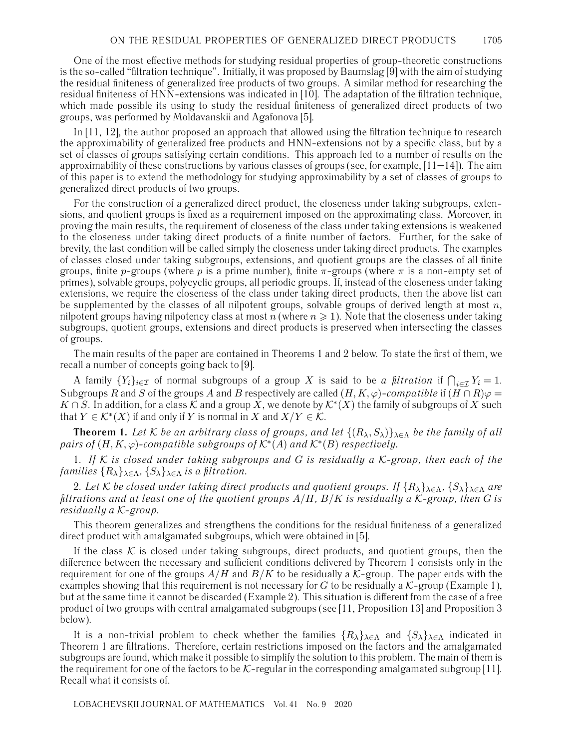One of the most effective methods for studying residual properties of group-theoretic constructions is the so-called "filtration technique". Initially, it was proposed by Baumslag [9] with the aim of studying the residual finiteness of generalized free products of two groups. A similar method for researching the residual finiteness of HNN-extensions was indicated in [10]. The adaptation of the filtration technique, which made possible its using to study the residual finiteness of generalized direct products of two groups, was performed by Moldavanskii and Agafonova [5].

In [11, 12], the author proposed an approach that allowed using the filtration technique to research the approximability of generalized free products and HNN-extensions not by a specific class, but by a set of classes of groups satisfying certain conditions. This approach led to a number of results on the approximability of these constructions by various classes of groups (see, for example, [11–14]). The aim of this paper is to extend the methodology for studying approximability by a set of classes of groups to generalized direct products of two groups.

For the construction of a generalized direct product, the closeness under taking subgroups, extensions, and quotient groups is fixed as a requirement imposed on the approximating class. Moreover, in proving the main results, the requirement of closeness of the class under taking extensions is weakened to the closeness under taking direct products of a finite number of factors. Further, for the sake of brevity, the last condition will be called simply the closeness under taking direct products. The examples of classes closed under taking subgroups, extensions, and quotient groups are the classes of all finite groups, finite p-groups (where p is a prime number), finite  $\pi$ -groups (where  $\pi$  is a non-empty set of primes), solvable groups, polycyclic groups, all periodic groups. If, instead of the closeness under taking extensions, we require the closeness of the class under taking direct products, then the above list can be supplemented by the classes of all nilpotent groups, solvable groups of derived length at most  $n$ , nilpotent groups having nilpotency class at most  $n$  (where  $n\geqslant 1$  ). Note that the closeness under taking subgroups, quotient groups, extensions and direct products is preserved when intersecting the classes of groups.

The main results of the paper are contained in Theorems 1 and 2 below. To state the first of them, we recall a number of concepts going back to [9].

A family  $\{Y_i\}_{i\in\mathcal{I}}$  of normal subgroups of a group X is said to be *a filtration* if  $\bigcap_{i\in\mathcal{I}} Y_i = 1$ . Subgroups R and S of the groups A and B respectively are called  $(H, K, \varphi)$ -compatible if  $(H \cap R)\varphi =$  $K \cap S$ . In addition, for a class K and a group X, we denote by  $\mathcal{K}^*(X)$  the family of subgroups of X such that  $Y \in \mathcal{K}^*(X)$  if and only if Y is normal in X and  $X/Y \in \mathcal{K}$ .

**Theorem 1.** *Let* K *be an arbitrary class of groups, and let*  $\{(R_\lambda, S_\lambda)\}_{\lambda \in \Lambda}$  *be the family of all pairs of*  $(H, K, \varphi)$ -compatible subgroups of  $K^*(A)$  and  $K^*(B)$  respectively.

1. *If* K *is closed under taking subgroups and* G *is residually a* K*-group, then each of the families*  $\{R_{\lambda}\}_{\lambda \in \Lambda}$ ,  $\{S_{\lambda}\}_{\lambda \in \Lambda}$  *is a filtration.* 

2. Let K be closed under taking direct products and quotient groups. If  $\{R_\lambda\}_{\lambda \in \Lambda}$ ,  $\{S_\lambda\}_{\lambda \in \Lambda}$  are *filtrations and at least one of the quotient groups* A/H*,* B/K *is residually a* K*-group, then* G *is residually a* K*-group.*

This theorem generalizes and strengthens the conditions for the residual finiteness of a generalized direct product with amalgamated subgroups, which were obtained in [5].

If the class  $K$  is closed under taking subgroups, direct products, and quotient groups, then the difference between the necessary and sufficient conditions delivered by Theorem 1 consists only in the requirement for one of the groups  $A/H$  and  $B/K$  to be residually a K-group. The paper ends with the examples showing that this requirement is not necessary for G to be residually a  $K$ -group (Example 1), but at the same time it cannot be discarded (Example 2). This situation is different from the case of a free product of two groups with central amalgamated subgroups (see [11, Proposition 13] and Proposition 3 below).

It is a non-trivial problem to check whether the families  ${R_\lambda}_{\lambda \in \Lambda}$  and  ${S_\lambda}_{\lambda \in \Lambda}$  indicated in Theorem 1 are filtrations. Therefore, certain restrictions imposed on the factors and the amalgamated subgroups are found, which make it possible to simplify the solution to this problem. The main of them is the requirement for one of the factors to be  $K$ -regular in the corresponding amalgamated subgroup [11]. Recall what it consists of.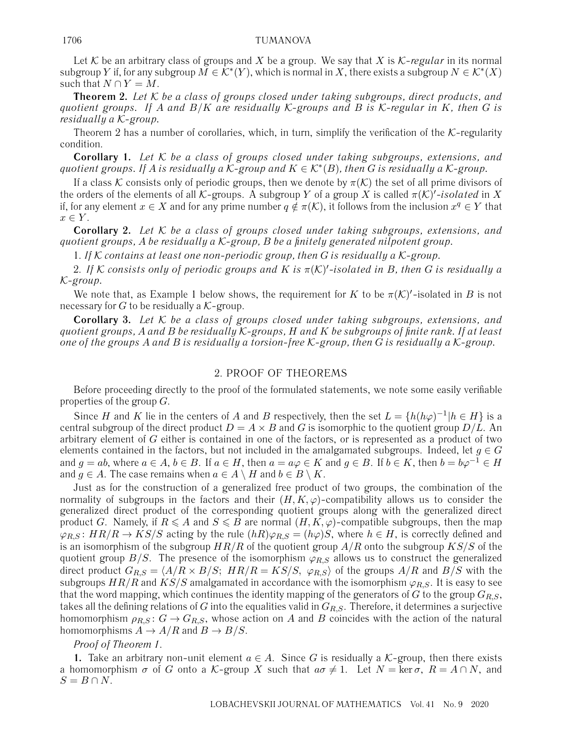### 1706 TUMANOVA

Let K be an arbitrary class of groups and X be a group. We say that X is  $K$ -regular in its normal subgroup Y if, for any subgroup  $M \in \mathcal{K}^*(Y)$ , which is normal in X, there exists a subgroup  $N \in \mathcal{K}^*(X)$ such that  $N \cap Y = M$ .

**Theorem 2.** *Let* K *be a class of groups closed under taking subgroups, direct products, and quotient groups. If* A *and* B/K *are residually* K*-groups and* B *is* K*-regular in* K*, then* G *is residually a* K*-group.*

Theorem 2 has a number of corollaries, which, in turn, simplify the verification of the  $K$ -regularity condition.

**Corollary 1.** *Let* K *be a class of groups closed under taking subgroups, extensions, and quotient groups. If* A *is residually a*  $K$ -group and  $K \in \mathcal{K}^*(B)$ , then G is residually a K-group.

If a class K consists only of periodic groups, then we denote by  $\pi(\mathcal{K})$  the set of all prime divisors of the orders of the elements of all K-groups. A subgroup Y of a group X is called  $\pi(\mathcal{K})'$ -isolated in X if, for any element  $x \in X$  and for any prime number  $q \notin \pi(\mathcal{K})$ , it follows from the inclusion  $x^q \in Y$  that  $x \in Y$ .

**Corollary 2.** *Let* K *be a class of groups closed under taking subgroups, extensions, and quotient groups,* A *be residually a* K*-group,* B *be a finitely generated nilpotent group.*

1. *If* K *contains at least one non-periodic group, then* G *is residually a* K*-group.*

2. *If* K *consists only of periodic groups and* K *is* π(K) *-isolated in* B*, then* G *is residually a* K*-group.*

We note that, as Example 1 below shows, the requirement for K to be  $\pi(\mathcal{K})'$ -isolated in B is not necessary for G to be residually a  $K$ -group.

**Corollary 3.** *Let* K *be a class of groups closed under taking subgroups, extensions, and quotient groups,* A *and* B *be residually* K*-groups,* H *and* K *be subgroups of finite rank. If at least one of the groups* A *and* B *is residually a torsion-free* K*-group, then* G *is residually a* K*-group.*

#### 2. PROOF OF THEOREMS

Before proceeding directly to the proof of the formulated statements, we note some easily verifiable properties of the group  $G$ .

Since H and K lie in the centers of A and B respectively, then the set  $L = \{h(h\varphi)^{-1} | h \in H\}$  is a central subgroup of the direct product  $D = A \times B$  and G is isomorphic to the quotient group  $D/L$ . An arbitrary element of G either is contained in one of the factors, or is represented as a product of two elements contained in the factors, but not included in the amalgamated subgroups. Indeed, let  $g \in G$ and  $g = ab$ , where  $a \in A$ ,  $b \in B$ . If  $a \in H$ , then  $a = a\varphi \in K$  and  $g \in B$ . If  $b \in K$ , then  $b = b\varphi^{-1} \in H$ and  $q \in A$ . The case remains when  $a \in A \setminus H$  and  $b \in B \setminus K$ .

Just as for the construction of a generalized free product of two groups, the combination of the normality of subgroups in the factors and their  $(H, K, \varphi)$ -compatibility allows us to consider the generalized direct product of the corresponding quotient groups along with the generalized direct product G. Namely, if  $R \leq A$  and  $S \leq B$  are normal  $(H, K, \varphi)$ -compatible subgroups, then the map  $\varphi_{R,S}$ :  $HR/R \rightarrow KS/S$  acting by the rule  $(hR)\varphi_{R,S} = (h\varphi)S$ , where  $h \in H$ , is correctly defined and is an isomorphism of the subgroup  $HR/R$  of the quotient group  $A/R$  onto the subgroup  $KS/S$  of the quotient group  $B/S$ . The presence of the isomorphism  $\varphi_{R,S}$  allows us to construct the generalized direct product  $G_{R,S} = \langle A/R \times B/S; HR/R = KS/S, \varphi_{R,S} \rangle$  of the groups  $A/R$  and  $B/S$  with the subgroups  $HR/R$  and  $KS/S$  amalgamated in accordance with the isomorphism  $\varphi_{R,S}$ . It is easy to see that the word mapping, which continues the identity mapping of the generators of G to the group  $G_{R,S}$ , takes all the defining relations of G into the equalities valid in  $G_{R,S}$ . Therefore, it determines a surjective homomorphism  $\rho_{R,S}$ :  $G \rightarrow G_{R,S}$ , whose action on A and B coincides with the action of the natural homomorphisms  $A \to A/R$  and  $B \to B/S$ .

#### *Proof of Theorem 1*.

**1.** Take an arbitrary non-unit element  $a \in A$ . Since G is residually a K-group, then there exists a homomorphism  $\sigma$  of G onto a K-group X such that  $a\sigma \neq 1$ . Let  $N = \text{ker }\sigma$ ,  $R = A \cap N$ , and  $S = B \cap N$ .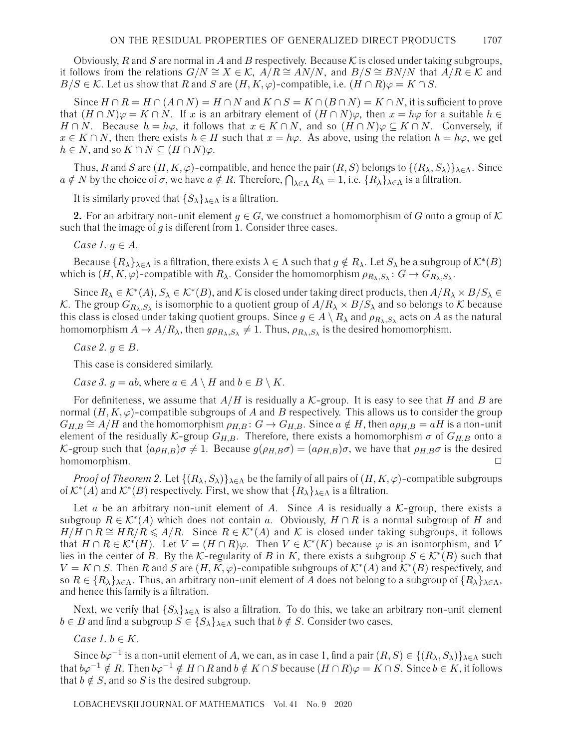Obviously, R and S are normal in A and B respectively. Because K is closed under taking subgroups, it follows from the relations  $G/N \cong X \in \mathcal{K}$ ,  $A/R \cong AN/N$ , and  $B/S \cong BN/N$  that  $A/R \in \mathcal{K}$  and  $B/S \in \mathcal{K}$ . Let us show that R and S are  $(H, K, \varphi)$ -compatible, i.e.  $(H \cap R)\varphi = K \cap S$ .

Since  $H \cap R = H \cap (A \cap N) = H \cap N$  and  $K \cap S = K \cap (B \cap N) = K \cap N$ , it is sufficient to prove that  $(H \cap N)\varphi = K \cap N$ . If x is an arbitrary element of  $(H \cap N)\varphi$ , then  $x = h\varphi$  for a suitable  $h \in$  $H \cap N$ . Because  $h = h\varphi$ , it follows that  $x \in K \cap N$ , and so  $(H \cap N)\varphi \subseteq K \cap N$ . Conversely, if  $x \in K \cap N$ , then there exists  $h \in H$  such that  $x = h\varphi$ . As above, using the relation  $h = h\varphi$ , we get  $h \in N$ , and so  $K \cap N \subseteq (H \cap N)\varphi$ .

Thus, R and S are  $(H, K, \varphi)$ -compatible, and hence the pair  $(R, S)$  belongs to  $\{(R_\lambda, S_\lambda)\}_{\lambda \in \Lambda}$ . Since  $a \notin N$  by the choice of  $\sigma$ , we have  $a \notin R$ . Therefore,  $\bigcap_{\lambda \in \Lambda} R_{\lambda} = 1$ , i.e.  $\{R_{\lambda}\}_{\lambda \in \Lambda}$  is a filtration.

It is similarly proved that  $\{S_{\lambda}\}_{{\lambda}\in{\Lambda}}$  is a filtration.

**2.** For an arbitrary non-unit element  $g \in G$ , we construct a homomorphism of G onto a group of K such that the image of  $g$  is different from 1. Consider three cases.

*Case 1.*  $g \in A$ .

Because  $\{R_\lambda\}_{\lambda\in\Lambda}$  is a filtration, there exists  $\lambda\in\Lambda$  such that  $g\notin R_\lambda$ . Let  $S_\lambda$  be a subgroup of  $\mathcal{K}^*(B)$ which is  $(H, K, \varphi)$ -compatible with  $R_\lambda$ . Consider the homomorphism  $\rho_{R_\lambda, S_\lambda} : G \to G_{R_\lambda, S_\lambda}$ .

Since  $R_\lambda \in \mathcal{K}^*(A), S_\lambda \in \mathcal{K}^*(B)$ , and  $\mathcal K$  is closed under taking direct products, then  $A/R_\lambda \times B/S_\lambda \in$ K. The group  $G_{R_{\lambda},S_{\lambda}}$  is isomorphic to a quotient group of  $A/R_{\lambda} \times B/S_{\lambda}$  and so belongs to K because this class is closed under taking quotient groups. Since  $g \in A \setminus R_\lambda$  and  $\rho_{R_\lambda,S_\lambda}$  acts on A as the natural homomorphism  $A \to A/R_\lambda$ , then  $g\rho_{R_\lambda,S_\lambda} \neq 1$ . Thus,  $\rho_{R_\lambda,S_\lambda}$  is the desired homomorphism.

*Case 2.*  $g \in B$ .

This case is considered similarly.

*Case 3.*  $g = ab$ , where  $a \in A \setminus H$  and  $b \in B \setminus K$ .

For definiteness, we assume that  $A/H$  is residually a K-group. It is easy to see that H and B are normal  $(H, K, \varphi)$ -compatible subgroups of A and B respectively. This allows us to consider the group  $G_{H,B} \cong A/H$  and the homomorphism  $\rho_{H,B}$ :  $G \to G_{H,B}$ . Since  $a \notin H$ , then  $a\rho_{H,B} = aH$  is a non-unit element of the residually K-group  $G_{H,B}$ . Therefore, there exists a homomorphism  $\sigma$  of  $G_{H,B}$  onto a K-group such that  $(a\rho_{H,B})\sigma \neq 1$ . Because  $g(\rho_{H,B}\sigma)=(a\rho_{H,B})\sigma$ , we have that  $\rho_{H,B}\sigma$  is the desired homomorphism.  $\Box$ 

*Proof of Theorem 2.* Let  $\{(R_\lambda, S_\lambda)\}_{\lambda \in \Lambda}$  be the family of all pairs of  $(H, K, \varphi)$ -compatible subgroups of  $\mathcal{K}^*(A)$  and  $\mathcal{K}^*(B)$  respectively. First, we show that  $\{R_\lambda\}_{\lambda\in\Lambda}$  is a filtration.

Let a be an arbitrary non-unit element of A. Since A is residually a  $K$ -group, there exists a subgroup  $R \in \mathcal{K}^*(A)$  which does not contain a. Obviously,  $H \cap R$  is a normal subgroup of H and  $H/H \cap R \cong HR/R \leq A/R$ . Since  $R \in \mathcal{K}^*(A)$  and K is closed under taking subgroups, it follows that  $H \cap R \in \mathcal{K}^*(H)$ . Let  $V = (H \cap R)\varphi$ . Then  $V \in \mathcal{K}^*(K)$  because  $\varphi$  is an isomorphism, and V lies in the center of B. By the K-regularity of B in K, there exists a subgroup  $S \in \mathcal{K}^*(B)$  such that  $V = K \cap S$ . Then R and S are  $(H, K, \varphi)$ -compatible subgroups of  $\mathcal{K}^*(A)$  and  $\mathcal{K}^*(B)$  respectively, and so  $R \in \{R_\lambda\}_{\lambda \in \Lambda}$ . Thus, an arbitrary non-unit element of A does not belong to a subgroup of  $\{R_\lambda\}_{\lambda \in \Lambda}$ , and hence this family is a filtration.

Next, we verify that  $\{S_\lambda\}_{\lambda \in \Lambda}$  is also a filtration. To do this, we take an arbitrary non-unit element  $b \in B$  and find a subgroup  $S \in \{S_{\lambda}\}_{\lambda \in \Lambda}$  such that  $b \notin S$ . Consider two cases.

*Case 1.*  $b \in K$ .

Since  $b\varphi^{-1}$  is a non-unit element of A, we can, as in case 1, find a pair  $(R, S) \in \{(R_\lambda, S_\lambda)\}_{\lambda \in \Lambda}$  such that  $b\varphi^{-1} \notin R$ . Then  $b\varphi^{-1} \notin H \cap R$  and  $b \notin K \cap S$  because  $(H \cap R)\varphi = K \cap S$ . Since  $b \in K$ , it follows that  $b \notin S$ , and so S is the desired subgroup.

LOBACHEVSKII JOURNAL OF MATHEMATICS Vol. 41 No. 9 2020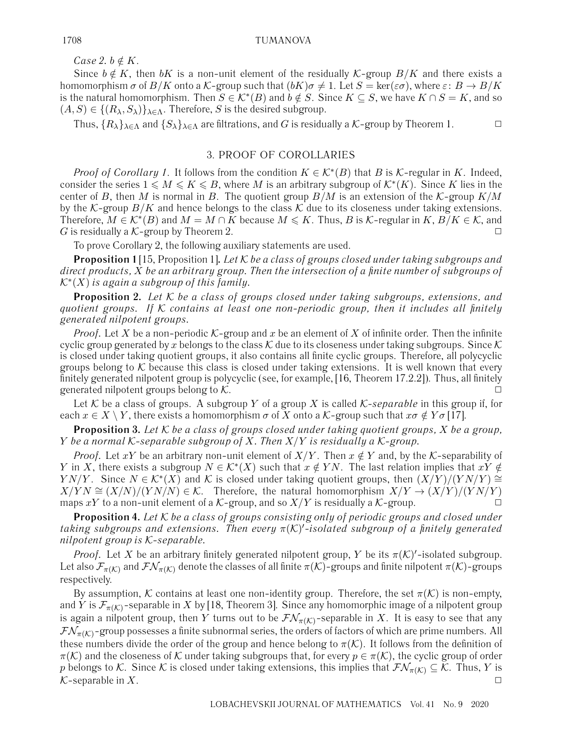*Case 2.*  $b \notin K$ .

Since  $b \notin K$ , then bK is a non-unit element of the residually K-group  $B/K$  and there exists a homomorphism  $\sigma$  of  $B/K$  onto a K-group such that  $(bK)\sigma \neq 1$ . Let  $S = \text{ker}(\varepsilon \sigma)$ , where  $\varepsilon: B \to B/K$ is the natural homomorphism. Then  $S \in \mathcal{K}^*(B)$  and  $b \notin S$ . Since  $K \subseteq S$ , we have  $K \cap S = K$ , and so  $(A, S) \in \{(R_{\lambda}, S_{\lambda})\}_{\lambda \in \Lambda}$ . Therefore, S is the desired subgroup.

Thus,  $\{R_\lambda\}_{\lambda \in \Lambda}$  and  $\{S_\lambda\}_{\lambda \in \Lambda}$  are filtrations, and G is residually a K-group by Theorem 1.

# 3. PROOF OF COROLLARIES

*Proof of Corollary 1*. It follows from the condition  $K \in \mathcal{K}^*(B)$  that B is K-regular in K. Indeed, consider the series  $1 \leqslant M \leqslant K \leqslant B$ , where M is an arbitrary subgroup of  $\mathcal{K}^*(K)$ . Since K lies in the center of B, then M is normal in B. The quotient group  $B/M$  is an extension of the K-group  $K/M$ by the K-group  $B/K$  and hence belongs to the class K due to its closeness under taking extensions. Therefore,  $M \in \mathcal{K}^*(B)$  and  $M = M \cap K$  because  $M \leq K$ . Thus, B is K-regular in  $K, B/K \in \mathcal{K}$ , and G is residually a K-group by Theorem 2.  $\Box$ 

To prove Corollary 2, the following auxiliary statements are used.

**Proposition 1** [15, Proposition 1]**.** *Let* K *be a class of groups closed under taking subgroups and direct products,* X *be an arbitrary group. Then the intersection of a finite number of subgroups of* K∗(X) *is again a subgroup of this family.*

**Proposition 2.** *Let* K *be a class of groups closed under taking subgroups, extensions, and quotient groups. If* K *contains at least one non-periodic group, then it includes all finitely generated nilpotent groups.*

*Proof.* Let X be a non-periodic K-group and x be an element of X of infinite order. Then the infinite cyclic group generated by x belongs to the class K due to its closeness under taking subgroups. Since K is closed under taking quotient groups, it also contains all finite cyclic groups. Therefore, all polycyclic groups belong to K because this class is closed under taking extensions. It is well known that every finitely generated nilpotent group is polycyclic (see, for example, [16, Theorem 17.2.2]). Thus, all finitely generated nilpotent groups belong to  $K$ .

Let K be a class of groups. A subgroup Y of a group X is called  $K$ -separable in this group if, for each  $x \in X \setminus Y$ , there exists a homomorphism  $\sigma$  of X onto a K-group such that  $x\sigma \notin Y\sigma$  [17].

**Proposition 3.** *Let* K *be a class of groups closed under taking quotient groups,* X *be a group,* Y *be a normal* K*-separable subgroup of* X*. Then* X/Y *is residually a* K*-group.*

*Proof.* Let xY be an arbitrary non-unit element of  $X/Y$ . Then  $x \notin Y$  and, by the K-separability of Y in X, there exists a subgroup  $N \in \mathcal{K}^*(X)$  such that  $x \notin YN$ . The last relation implies that  $xY \notin Y$  $YN/Y$ . Since  $N \in \mathcal{K}^*(X)$  and K is closed under taking quotient groups, then  $(X/Y)/(YN/Y)$  ≅  $X/YN \cong (X/N)/(YN/N) \in \mathcal{K}$ . Therefore, the natural homomorphism  $X/Y \to (X/Y)/(YN/Y)$ maps xY to a non-unit element of a K-group, and so  $X/Y$  is residually a K-group.

**Proposition 4.** *Let* K *be a class of groups consisting only of periodic groups and closed under taking subgroups and extensions. Then every* π(K) *-isolated subgroup of a finitely generated nilpotent group is* K*-separable.*

*Proof.* Let X be an arbitrary finitely generated nilpotent group, Y be its  $\pi(\mathcal{K})'$ -isolated subgroup. Let also  $\mathcal{F}_{\pi(K)}$  and  $\mathcal{FN}_{\pi(K)}$  denote the classes of all finite  $\pi(K)$ -groups and finite nilpotent  $\pi(K)$ -groups respectively.

By assumption, K contains at least one non-identity group. Therefore, the set  $\pi(\mathcal{K})$  is non-empty, and Y is  $\mathcal{F}_{\pi(K)}$ -separable in X by [18, Theorem 3]. Since any homomorphic image of a nilpotent group is again a nilpotent group, then Y turns out to be  $\mathcal{FN}_{\pi(\mathcal{K})}$ -separable in X. It is easy to see that any  $\mathcal{FN}_{\pi(K)}$ -group possesses a finite subnormal series, the orders of factors of which are prime numbers. All these numbers divide the order of the group and hence belong to  $\pi(\mathcal{K})$ . It follows from the definition of  $\pi(\mathcal{K})$  and the closeness of K under taking subgroups that, for every  $p \in \pi(\mathcal{K})$ , the cyclic group of order p belongs to K. Since K is closed under taking extensions, this implies that  $\mathcal{FN}_{\pi(K)} \subseteq \mathcal{K}$ . Thus, Y is  $K$ -separable in X.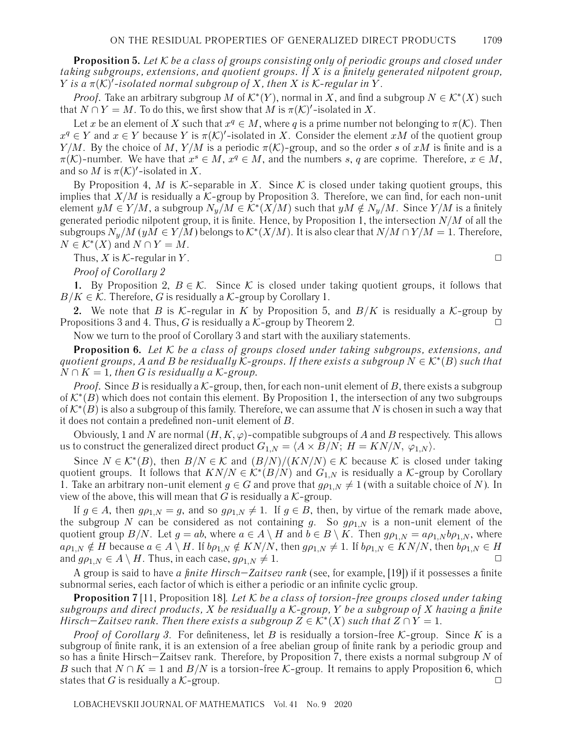**Proposition 5.** *Let* K *be a class of groups consisting only of periodic groups and closed under taking subgroups, extensions, and quotient groups. If* X *is a finitely generated nilpotent group,* Y *is a* π(K) *-isolated normal subgroup of* X*, then* X *is* K*-regular in* Y .

*Proof.* Take an arbitrary subgroup M of  $\mathcal{K}^*(Y)$ , normal in X, and find a subgroup  $N \in \mathcal{K}^*(X)$  such that  $N \cap Y = M$ . To do this, we first show that M is  $\pi(\mathcal{K})'$ -isolated in X.

Let x be an element of X such that  $x^q \in M$ , where q is a prime number not belonging to  $\pi(\mathcal{K})$ . Then  $x^q \in Y$  and  $x \in Y$  because Y is  $\pi(\mathcal{K})'$ -isolated in X. Consider the element  $xM$  of the quotient group  $Y/M$ . By the choice of M,  $Y/M$  is a periodic  $\pi(K)$ -group, and so the order s of xM is finite and is a  $\pi(K)$ -number. We have that  $x^s \in M$ ,  $x^q \in M$ , and the numbers s, q are coprime. Therefore,  $x \in M$ , and so M is  $\pi(\mathcal{K})'$ -isolated in X.

By Proposition 4, M is K-separable in X. Since K is closed under taking quotient groups, this implies that  $X/M$  is residually a K-group by Proposition 3. Therefore, we can find, for each non-unit element  $yM \in Y/M$ , a subgroup  $N_y/M \in K^*(X/M)$  such that  $yM \notin N_y/M$ . Since  $Y/M$  is a finitely generated periodic nilpotent group, it is finite. Hence, by Proposition 1, the intersection  $N/M$  of all the subgroups  $N_y/M$  ( $yM \in Y/M$ ) belongs to  $\mathcal{K}^*(X/M)$ . It is also clear that  $N/M \cap Y/M = 1$ . Therefore,  $N \in \mathcal{K}^*(X)$  and  $N \cap Y = M$ .

Thus, X is K-regular in Y.  $\Box$ 

*Proof of Corollary 2*

**1.** By Proposition 2,  $B \in \mathcal{K}$ . Since K is closed under taking quotient groups, it follows that  $B/K \in \mathcal{K}$ . Therefore, G is residually a  $\mathcal{K}$ -group by Corollary 1.

**2.** We note that B is K-regular in K by Proposition 5, and  $B/K$  is residually a K-group by Propositions 3 and 4. Thus, G is residually a  $K$ -group by Theorem 2.

Now we turn to the proof of Corollary 3 and start with the auxiliary statements.

**Proposition 6.** *Let* K *be a class of groups closed under taking subgroups, extensions, and quotient groups,* A and B be residually K-groups. If there exists a subgroup  $N \in \mathcal{K}^*(B)$  *such that*  $N \cap K = 1$ , then G is residually a K-group.

*Proof.* Since B is residually a  $K$ -group, then, for each non-unit element of B, there exists a subgroup of  $\mathcal{K}^*(B)$  which does not contain this element. By Proposition 1, the intersection of any two subgroups of  $\mathcal{K}^*(B)$  is also a subgroup of this family. Therefore, we can assume that N is chosen in such a way that it does not contain a predefined non-unit element of B.

Obviously, 1 and N are normal  $(H, K, \varphi)$ -compatible subgroups of A and B respectively. This allows us to construct the generalized direct product  $G_{1,N} = \langle A \times B/N; H = KN/N, \varphi_{1,N} \rangle$ .

Since  $N \in \mathcal{K}^*(B)$ , then  $B/N \in \mathcal{K}$  and  $(B/N)/(KN/N) \in \mathcal{K}$  because K is closed under taking quotient groups. It follows that  $KN/N \in \mathcal{K}^*(B/N)$  and  $G_{1,N}$  is residually a  $\mathcal{K}$ -group by Corollary 1. Take an arbitrary non-unit element  $g \in G$  and prove that  $g \rho_{1,N} \neq 1$  (with a suitable choice of N). In view of the above, this will mean that G is residually a  $K$ -group.

If  $g \in A$ , then  $g \rho_{1,N} = g$ , and so  $g \rho_{1,N} \neq 1$ . If  $g \in B$ , then, by virtue of the remark made above, the subgroup N can be considered as not containing g. So  $g\rho_{1,N}$  is a non-unit element of the quotient group  $B/N$ . Let  $g = ab$ , where  $a \in A \setminus H$  and  $b \in B \setminus K$ . Then  $g \rho_{1,N} = a \rho_{1,N} b \rho_{1,N}$ , where  $a\rho_{1,N} \notin H$  because  $a \in A \setminus H$ . If  $b\rho_{1,N} \notin KN/N$ , then  $g\rho_{1,N} \neq 1$ . If  $b\rho_{1,N} \in KN/N$ , then  $b\rho_{1,N} \in H$ and  $g\rho_{1,N} \in A \setminus H$ . Thus, in each case,  $g\rho_{1,N} \neq 1$ .

A group is said to have *a finite Hirsch–Zaitsev rank* (see, for example, [19]) if it possesses a finite subnormal series, each factor of which is either a periodic or an infinite cyclic group.

**Proposition 7** [11, Proposition 18]. *Let* K *be a class of torsion-free groups closed under taking subgroups and direct products,* X *be residually a* K*-group,* Y *be a subgroup of* X *having a finite Hirsch*–*Zaitsev rank. Then there exists a subgroup*  $Z \in \mathcal{K}^*(X)$  *such that*  $Z \cap Y = 1$ .

*Proof of Corollary 3.* For definiteness, let B is residually a torsion-free  $K$ -group. Since K is a subgroup of finite rank, it is an extension of a free abelian group of finite rank by a periodic group and so has a finite Hirsch–Zaitsev rank. Therefore, by Proposition 7, there exists a normal subgroup  $N$  of B such that  $N \cap K = 1$  and  $B/N$  is a torsion-free K-group. It remains to apply Proposition 6, which states that G is residually a K-group.  $\square$ 

LOBACHEVSKII JOURNAL OF MATHEMATICS Vol. 41 No. 9 2020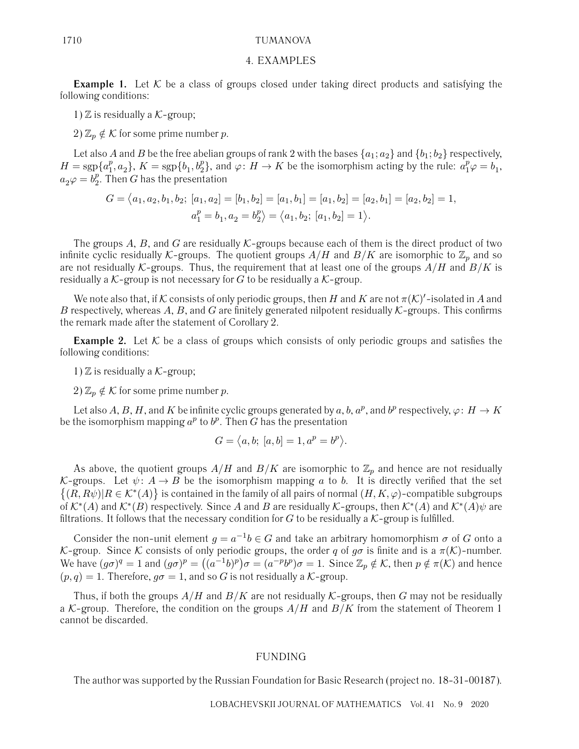#### 1710 TUMANOVA

#### 4. EXAMPLES

**Example 1.** Let K be a class of groups closed under taking direct products and satisfying the following conditions:

1)  $\mathbb Z$  is residually a  $\mathcal K$ -group;

2)  $\mathbb{Z}_p \notin \mathcal{K}$  for some prime number p.

Let also A and B be the free abelian groups of rank 2 with the bases  $\{a_1; a_2\}$  and  $\{b_1; b_2\}$  respectively,  $H = \text{sgp}\{a_1^p, a_2\}, K = \text{sgp}\{b_1, b_2^p\}, \text{ and } \varphi: H \to K \text{ be the isomorphism acting by the rule: } a_1^p \varphi = b_1,$  $a_2\varphi = b_2^p$ . Then G has the presentation

$$
G = \langle a_1, a_2, b_1, b_2; [a_1, a_2] = [b_1, b_2] = [a_1, b_1] = [a_1, b_2] = [a_2, b_1] = [a_2, b_2] = 1,
$$
  

$$
a_1^p = b_1, a_2 = b_2^p \rangle = \langle a_1, b_2; [a_1, b_2] = 1 \rangle.
$$

The groups A, B, and G are residually  $K$ -groups because each of them is the direct product of two infinite cyclic residually K-groups. The quotient groups  $A/H$  and  $B/K$  are isomorphic to  $\mathbb{Z}_p$  and so are not residually K-groups. Thus, the requirement that at least one of the groups  $A/H$  and  $B/K$  is residually a  $K$ -group is not necessary for G to be residually a  $K$ -group.

We note also that, if K consists of only periodic groups, then H and K are not  $\pi(\mathcal{K})'$ -isolated in A and B respectively, whereas A, B, and G are finitely generated nilpotent residually  $K$ -groups. This confirms the remark made after the statement of Corollary 2.

**Example 2.** Let  $K$  be a class of groups which consists of only periodic groups and satisfies the following conditions:

1)  $\mathbb Z$  is residually a  $\mathcal K$ -group;

2)  $\mathbb{Z}_p \notin \mathcal{K}$  for some prime number p.

Let also A, B, H, and K be infinite cyclic groups generated by a, b,  $a^p$ , and  $b^p$  respectively,  $\varphi: H \to K$ be the isomorphism mapping  $a^p$  to  $b^p$ . Then G has the presentation

$$
G = \langle a, b; [a, b] = 1, a^p = b^p \rangle.
$$

As above, the quotient groups  $A/H$  and  $B/K$  are isomorphic to  $\mathbb{Z}_p$  and hence are not residually K-groups. Let  $\psi: A \to B$  be the isomorphism mapping a to b. It is directly verified that the set  $\{(R, R\psi)| R \in \mathcal{K}^*(A)\}\$ is contained in the family of all pairs of normal  $(H, K, \varphi)$ -compatible subgroups of  $\mathcal{K}^*(A)$  and  $\mathcal{K}^*(B)$  respectively. Since A and B are residually K-groups, then  $\mathcal{K}^*(A)$  and  $\mathcal{K}^*(A)\psi$  are filtrations. It follows that the necessary condition for  $G$  to be residually a  $K$ -group is fulfilled.

Consider the non-unit element  $q = a^{-1}b \in G$  and take an arbitrary homomorphism  $\sigma$  of G onto a K-group. Since K consists of only periodic groups, the order q of  $g\sigma$  is finite and is a  $\pi(\mathcal{K})$ -number. We have  $(g\sigma)^q = 1$  and  $(g\sigma)^p = ((a^{-1}b)^p)\sigma = (a^{-p}b^p)\sigma = 1$ . Since  $\mathbb{Z}_p \notin \mathcal{K}$ , then  $p \notin \pi(\mathcal{K})$  and hence  $(p, q) = 1$ . Therefore,  $q\sigma = 1$ , and so G is not residually a K-group.

Thus, if both the groups  $A/H$  and  $B/K$  are not residually K-groups, then G may not be residually a K-group. Therefore, the condition on the groups  $A/H$  and  $B/K$  from the statement of Theorem 1 cannot be discarded.

#### FUNDING

The author was supported by the Russian Foundation for Basic Research (project no. 18-31-00187).